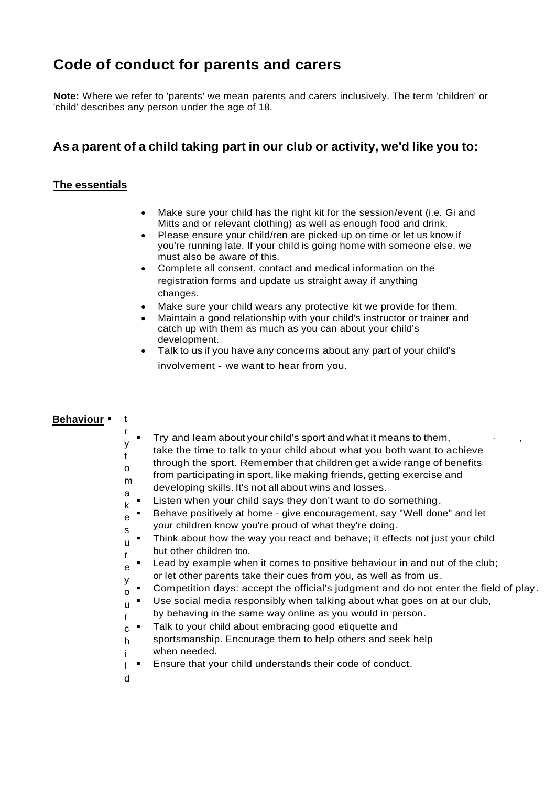# **Code of conduct for parents and carers**

**Note:** Where we refer to 'parents' we mean parents and carers inclusively. The term 'children' or 'child' describes any person under the age of 18.

## **As a parent of a child taking part in our club or activity, we'd like you to:**

#### **The essentials**

- Make sure your child has the right kit for the session/event (i.e. Gi and Mitts and or relevant clothing) as well as enough food and drink.
- Please ensure your child/ren are picked up on time or let us know if you're running late. If your child is going home with someone else, we must also be aware of this.
- Complete all consent, contact and medical information on the registration forms and update us straight away if anything changes.
- Make sure your child wears any protective kit we provide for them.
- Maintain a good relationship with your child's instructor or trainer and catch up with them as much as you can about your child's development.
- Talk to us if you have any concerns about any part of your child's involvement - we want to hear from you.

### **Behaviour** • t

r

- Try and learn about your child's sport and what it means to them,
- y t take the time to talk to your child about what you both want to achieve
	- through the sport. Remember that children get a wide range of benefits
- o m from participating in sport, like making friends, getting exercise and
- a developing skills. It's not all about wins and losses.
- k Listen when your child says they don't want to do something.
- e Behave positively at home - give encouragement, say "Well done" and let your children know you're proud of what they're doing.
- s u r Think about how the way you react and behave; it effects not just your child but other children too.
- e Lead by example when it comes to positive behaviour in and out of the club;
- y or let other parents take their cues from you, as well as from us.
- o Competition days: accept the official's judgment and do not enter the field of play.
- u r Use social media responsibly when talking about what goes on at our club, by behaving in the same way online as you would in person.
- c Talk to your child about embracing good etiquette and
- h i sportsmanship. Encourage them to help others and seek help when needed.
- l Ensure that your child understands their code of conduct.
- d